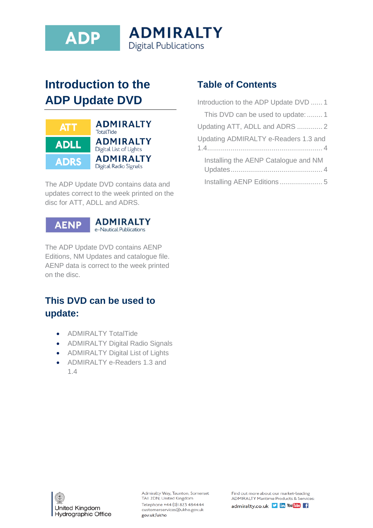

**ADMIRALTY Digital Publications** 

### <span id="page-0-0"></span>**Introduction to the ADP Update DVD**



The ADP Update DVD contains data and updates correct to the week printed on the disc for ATT, ADLL and ADRS.



The ADP Update DVD contains AENP Editions, NM Updates and catalogue file. AENP data is correct to the week printed on the disc.

### <span id="page-0-1"></span>**This DVD can be used to update:**

- ADMIRALTY TotalTide
- ADMIRALTY Digital Radio Signals
- ADMIRALTY Digital List of Lights
- ADMIRALTY e-Readers 1.3 and 1.4

### **Table of Contents**

| Introduction to the ADP Update DVD  1 |
|---------------------------------------|
| This DVD can be used to update:  1    |
| Updating ATT, ADLL and ADRS 2         |
| Updating ADMIRALTY e-Readers 1.3 and  |
| Installing the AENP Catalogue and NM  |
| Installing AENP Editions 5            |



Admiralty Way, Taunton, Somerset TAI 2DN, United Kingdom Telephone +44 (0)1823 484444 customerservices@ukho.gov.uk gov.uk/ukho

Find out more about our market-leading ADMIRALTY Maritime Products & Services:

admiralty.co.uk in YouTube f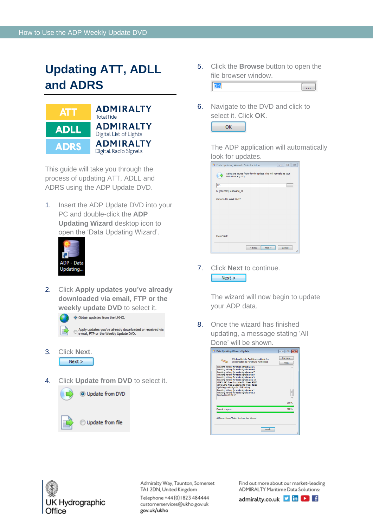## <span id="page-1-0"></span>**Updating ATT, ADLL and ADRS**



This guide will take you through the process of updating ATT, ADLL and ADRS using the ADP Update DVD.

1. Insert the ADP Update DVD into your PC and double-click the **ADP Updating Wizard** desktop icon to open the 'Data Updating Wizard'.



- 2. Click **Apply updates you've already downloaded via email, FTP or the weekly update DVD** to select it.
	- O Obtain updates from the UKHO.

Apply updates you've already downloaded or received via<br>e-mail, FTP or the Weekly Update DVD.  $\odot$ 

- 3. Click **Next**.  $Next >$
- 4. Click **Update from DVD** to select it.

Update from file







6. Navigate to the DVD and click to select it. Click **OK**. OK

> The ADP application will automatically look for updates.

| D:\                     |                         |  |  |
|-------------------------|-------------------------|--|--|
|                         | D: [CD,CDFS] ADPWK10_17 |  |  |
| Corrected to Week 10/17 |                         |  |  |
|                         |                         |  |  |
|                         |                         |  |  |
|                         |                         |  |  |
|                         |                         |  |  |

7. Click **Next** to continue.  $Next >$ 

> The wizard will now begin to update your ADP data.

8. Once the wizard has finished updating, a message stating 'All Done' will be shown.





Admiralty Way, Taunton, Somerset TAI 2DN, United Kingdom Telephone +44 (0) 1823 484444 customerservices@ukho.gov.uk gov.uk/ukho

Find out more about our market-leading ADMIRALTY Maritime Data Solutions:

admiralty.co.uk lin b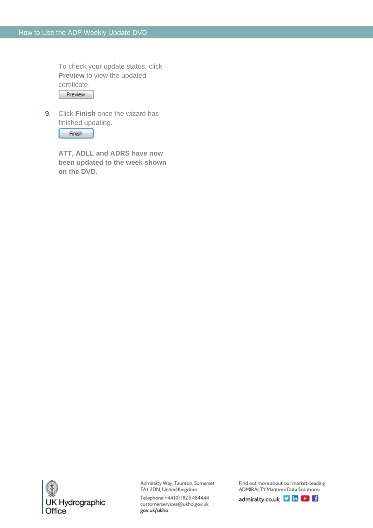To check your update status, click **Preview** to view the updated certificate. Preview

9. Click **Finish** once the wizard has finished updating.

Finish

**ATT, ADLL and ADRS have now been updated to the week shown on the DVD.**



Admiralty Way, Taunton, Somerset TAI 2DN, United Kingdom

Telephone +44 (0) 1823 484444 customerservices@ukho.gov.uk gov.uk/ukho

Find out more about our market-leading ADMIRALTY Maritime Data Solutions:

admiralty.co.uk in b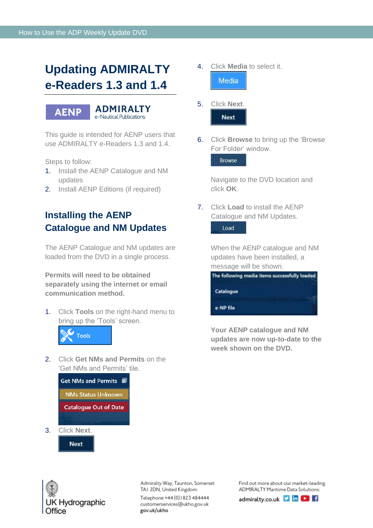# <span id="page-3-0"></span>**Updating ADMIRALTY e-Readers 1.3 and 1.4**



**ADMIRALTY** e-Nautical Publications

This guide is intended for AENP users that use ADMIRALTY e-Readers 1.3 and 1.4.

Steps to follow:

- 1. Install the AENP Catalogue and NM updates
- 2. Install AENP Editions (if required)

#### <span id="page-3-1"></span>**Installing the AENP Catalogue and NM Updates**

The AENP Catalogue and NM updates are loaded from the DVD in a single process.

**Permits will need to be obtained separately using the internet or email communication method.**

1. Click **Tools** on the right-hand menu to bring up the 'Tools' screen.



2. Click **Get NMs and Permits** on the 'Get NMs and Permits' tile.



3. Click **Next**.

**Next** 



Admiralty Way, Taunton, Somerset TAI 2DN, United Kingdom Telephone +44 (0) 1823 484444 customerservices@ukho.gov.uk gov.uk/ukho

Find out more about our market-leading ADMIRALTY Maritime Data Solutions:



4. Click **Media** to select it.





6. Click **Browse** to bring up the 'Browse For Folder' window.

**Browse** 

Navigate to the DVD location and click **OK**.

7. Click **Load** to install the AENP Catalogue and NM Updates.

In

Load

When the AENP catalogue and NM updates have been installed, a message will be shown.

| The following media items successfully loaded |  |
|-----------------------------------------------|--|
| Catalogue                                     |  |
| e-NP file                                     |  |

**Your AENP catalogue and NM updates are now up-to-date to the week shown on the DVD.**